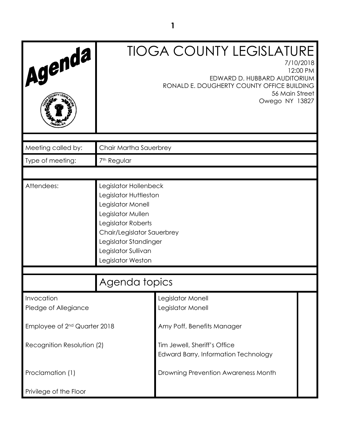| Agenda                                   |                                                                                                                                                                                                                   | <b>TIOGA COUNTY LEGISLATURE</b><br>7/10/2018<br>EDWARD D. HUBBARD AUDITORIUM<br>RONALD E. DOUGHERTY COUNTY OFFICE BUILDING<br>56 Main Street<br>Owego NY 13827 | 12:00 PM |
|------------------------------------------|-------------------------------------------------------------------------------------------------------------------------------------------------------------------------------------------------------------------|----------------------------------------------------------------------------------------------------------------------------------------------------------------|----------|
| Meeting called by:                       | Chair Martha Sauerbrey                                                                                                                                                                                            |                                                                                                                                                                |          |
| Type of meeting:                         | 7 <sup>th</sup> Regular                                                                                                                                                                                           |                                                                                                                                                                |          |
|                                          |                                                                                                                                                                                                                   |                                                                                                                                                                |          |
| Attendees:                               | Legislator Hollenbeck<br>Legislator Huttleston<br>Legislator Monell<br>Legislator Mullen<br>Legislator Roberts<br>Chair/Legislator Sauerbrey<br>Legislator Standinger<br>Legislator Sullivan<br>Legislator Weston |                                                                                                                                                                |          |
|                                          | Agenda topics                                                                                                                                                                                                     |                                                                                                                                                                |          |
| Invocation<br>Pledge of Allegiance       |                                                                                                                                                                                                                   | Legislator Monell<br>Legislator Monell                                                                                                                         |          |
| Employee of 2 <sup>nd</sup> Quarter 2018 |                                                                                                                                                                                                                   | Amy Poff, Benefits Manager                                                                                                                                     |          |
| Recognition Resolution (2)               |                                                                                                                                                                                                                   | Tim Jewell, Sheriff's Office<br><b>Edward Barry, Information Technology</b>                                                                                    |          |
| Proclamation (1)                         |                                                                                                                                                                                                                   | Drowning Prevention Awareness Month                                                                                                                            |          |
| Privilege of the Floor                   |                                                                                                                                                                                                                   |                                                                                                                                                                |          |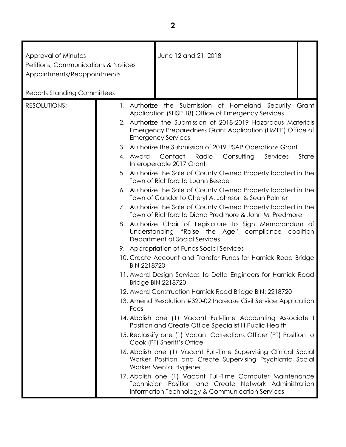| Approval of Minutes<br>Petitions, Communications & Notices<br>Appointments/Reappointments | June 12 and 21, 2018                                                                                                                                                                                                                                                                                                                                                                                             |                |
|-------------------------------------------------------------------------------------------|------------------------------------------------------------------------------------------------------------------------------------------------------------------------------------------------------------------------------------------------------------------------------------------------------------------------------------------------------------------------------------------------------------------|----------------|
| <b>Reports Standing Committees</b>                                                        |                                                                                                                                                                                                                                                                                                                                                                                                                  |                |
| <b>RESOLUTIONS:</b>                                                                       | 1. Authorize the Submission of Homeland Security<br>Application (SHSP 18) Office of Emergency Services<br>2. Authorize the Submission of 2018-2019 Hazardous Materials<br>Emergency Preparedness Grant Application (HMEP) Office of<br><b>Emergency Services</b><br>3. Authorize the Submission of 2019 PSAP Operations Grant<br>4. Award Contact<br>Radio<br>Consulting<br>Services<br>Interoperable 2017 Grant | Grant<br>State |
|                                                                                           | 5. Authorize the Sale of County Owned Property located in the<br>Town of Richford to Luann Beebe                                                                                                                                                                                                                                                                                                                 |                |
|                                                                                           | 6. Authorize the Sale of County Owned Property located in the<br>Town of Candor to Cheryl A. Johnson & Sean Palmer                                                                                                                                                                                                                                                                                               |                |
|                                                                                           | 7. Authorize the Sale of County Owned Property located in the<br>Town of Richford to Diana Predmore & John M. Predmore                                                                                                                                                                                                                                                                                           |                |
|                                                                                           | 8. Authorize Chair of Legislature to Sign Memorandum of<br>Understanding "Raise the Age" compliance coalition<br>Department of Social Services                                                                                                                                                                                                                                                                   |                |
|                                                                                           | 9. Appropriation of Funds Social Services                                                                                                                                                                                                                                                                                                                                                                        |                |
|                                                                                           | 10. Create Account and Transfer Funds for Harnick Road Bridge<br><b>BIN 2218720</b>                                                                                                                                                                                                                                                                                                                              |                |
|                                                                                           | 11. Award Design Services to Delta Engineers for Harnick Road<br><b>Bridge BIN 2218720</b>                                                                                                                                                                                                                                                                                                                       |                |
|                                                                                           | 12. Award Construction Harnick Road Bridge BIN: 2218720                                                                                                                                                                                                                                                                                                                                                          |                |
|                                                                                           | 13. Amend Resolution #320-02 Increase Civil Service Application<br>Fees                                                                                                                                                                                                                                                                                                                                          |                |
|                                                                                           | 14. Abolish one (1) Vacant Full-Time Accounting Associate I<br>Position and Create Office Specialist III Public Health                                                                                                                                                                                                                                                                                           |                |
|                                                                                           | 15. Reclassify one (1) Vacant Corrections Officer (PT) Position to<br>Cook (PT) Sheriff's Office                                                                                                                                                                                                                                                                                                                 |                |
|                                                                                           | 16. Abolish one (1) Vacant Full-Time Supervising Clinical Social<br>Worker Position and Create Supervising Psychiatric Social<br>Worker Mental Hygiene                                                                                                                                                                                                                                                           |                |
|                                                                                           | 17. Abolish one (1) Vacant Full-Time Computer Maintenance<br>Technician Position and Create Network Administration<br>Information Technology & Communication Services                                                                                                                                                                                                                                            |                |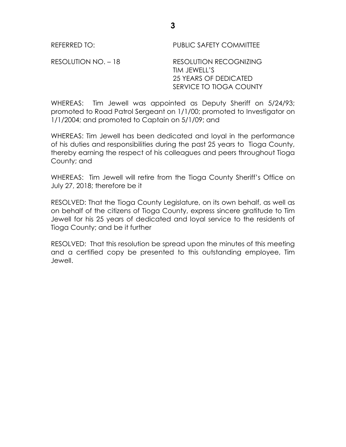REFERRED TO: PUBLIC SAFETY COMMITTEE

RESOLUTION NO. - 18 RESOLUTION RECOGNIZING TIM JEWELL'S 25 YEARS OF DEDICATED SERVICE TO TIOGA COUNTY

WHEREAS: Tim Jewell was appointed as Deputy Sheriff on 5/24/93; promoted to Road Patrol Sergeant on 1/1/00; promoted to Investigator on 1/1/2004; and promoted to Captain on 5/1/09; and

WHEREAS: Tim Jewell has been dedicated and loyal in the performance of his duties and responsibilities during the past 25 years to Tioga County, thereby earning the respect of his colleagues and peers throughout Tioga County; and

WHEREAS: Tim Jewell will retire from the Tioga County Sheriff's Office on July 27, 2018; therefore be it

RESOLVED: That the Tioga County Legislature, on its own behalf, as well as on behalf of the citizens of Tioga County, express sincere gratitude to Tim Jewell for his 25 years of dedicated and loyal service to the residents of Tioga County; and be it further

RESOLVED: That this resolution be spread upon the minutes of this meeting and a certified copy be presented to this outstanding employee, Tim Jewell.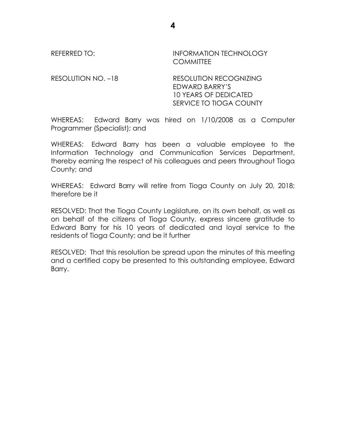REFERRED TO: **INFORMATION TECHNOLOGY COMMITTEE** 

RESOLUTION NO. -18 RESOLUTION RECOGNIZING EDWARD BARRY'S 10 YEARS OF DEDICATED SERVICE TO TIOGA COUNTY

WHEREAS: Edward Barry was hired on 1/10/2008 as a Computer Programmer (Specialist); and

WHEREAS: Edward Barry has been a valuable employee to the Information Technology and Communication Services Department, thereby earning the respect of his colleagues and peers throughout Tioga County; and

WHEREAS: Edward Barry will retire from Tioga County on July 20, 2018; therefore be it

RESOLVED: That the Tioga County Legislature, on its own behalf, as well as on behalf of the citizens of Tioga County, express sincere gratitude to Edward Barry for his 10 years of dedicated and loyal service to the residents of Tioga County; and be it further

RESOLVED: That this resolution be spread upon the minutes of this meeting and a certified copy be presented to this outstanding employee, Edward Barry.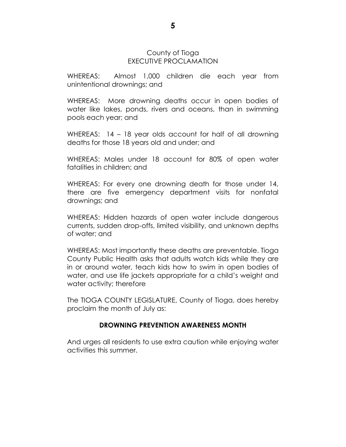## County of Tioga EXECUTIVE PROCLAMATION

WHEREAS: Almost 1,000 children die each year from unintentional drownings; and

WHEREAS: More drowning deaths occur in open bodies of water like lakes, ponds, rivers and oceans, than in swimming pools each year; and

WHEREAS: 14 – 18 year olds account for half of all drowning deaths for those 18 years old and under; and

WHEREAS: Males under 18 account for 80% of open water fatalities in children; and

WHEREAS: For every one drowning death for those under 14, there are five emergency department visits for nonfatal drownings; and

WHEREAS: Hidden hazards of open water include dangerous currents, sudden drop-offs, limited visibility, and unknown depths of water; and

WHEREAS: Most importantly these deaths are preventable. Tioga County Public Health asks that adults watch kids while they are in or around water, teach kids how to swim in open bodies of water, and use life jackets appropriate for a child's weight and water activity; therefore

The TIOGA COUNTY LEGISLATURE, County of Tioga, does hereby proclaim the month of July as:

## **DROWNING PREVENTION AWARENESS MONTH**

And urges all residents to use extra caution while enjoying water activities this summer.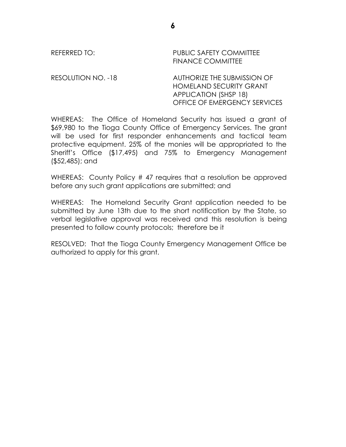REFERRED TO: PUBLIC SAFETY COMMITTEE FINANCE COMMITTEE

RESOLUTION NO. -18 AUTHORIZE THE SUBMISSION OF HOMELAND SECURITY GRANT APPLICATION (SHSP 18) OFFICE OF EMERGENCY SERVICES

WHEREAS: The Office of Homeland Security has issued a grant of \$69,980 to the Tioga County Office of Emergency Services. The grant will be used for first responder enhancements and tactical team protective equipment. 25% of the monies will be appropriated to the Sheriff's Office (\$17,495) and 75% to Emergency Management (\$52,485); and

WHEREAS: County Policy # 47 requires that a resolution be approved before any such grant applications are submitted; and

WHEREAS: The Homeland Security Grant application needed to be submitted by June 13th due to the short notification by the State, so verbal legislative approval was received and this resolution is being presented to follow county protocols; therefore be it

RESOLVED: That the Tioga County Emergency Management Office be authorized to apply for this grant.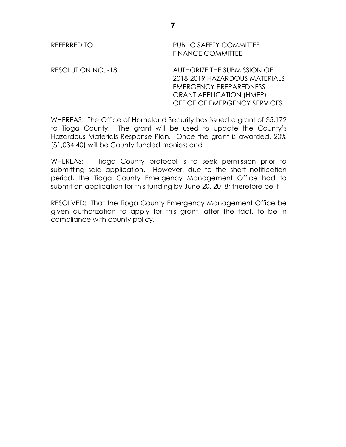REFERRED TO: PUBLIC SAFETY COMMITTEE FINANCE COMMITTEE

RESOLUTION NO. -18 AUTHORIZE THE SUBMISSION OF 2018-2019 HAZARDOUS MATERIALS EMERGENCY PREPAREDNESS GRANT APPLICATION (HMEP) OFFICE OF EMERGENCY SERVICES

WHEREAS: The Office of Homeland Security has issued a grant of \$5,172 to Tioga County. The grant will be used to update the County's Hazardous Materials Response Plan. Once the grant is awarded, 20% (\$1,034.40) will be County funded monies; and

WHEREAS: Tioga County protocol is to seek permission prior to submitting said application. However, due to the short notification period, the Tioga County Emergency Management Office had to submit an application for this funding by June 20, 2018; therefore be it

RESOLVED: That the Tioga County Emergency Management Office be given authorization to apply for this grant, after the fact, to be in compliance with county policy.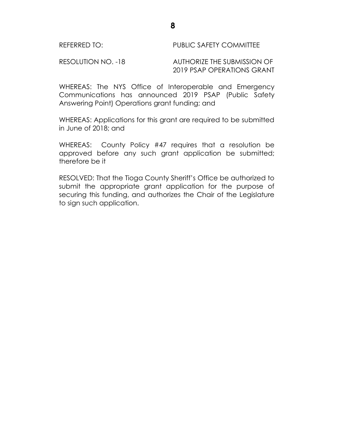RESOLUTION NO. -18 AUTHORIZE THE SUBMISSION OF 2019 PSAP OPERATIONS GRANT

WHEREAS: The NYS Office of Interoperable and Emergency Communications has announced 2019 PSAP (Public Safety Answering Point) Operations grant funding; and

WHEREAS: Applications for this grant are required to be submitted in June of 2018; and

WHEREAS: County Policy #47 requires that a resolution be approved before any such grant application be submitted; therefore be it

RESOLVED: That the Tioga County Sheriff's Office be authorized to submit the appropriate grant application for the purpose of securing this funding, and authorizes the Chair of the Legislature to sign such application.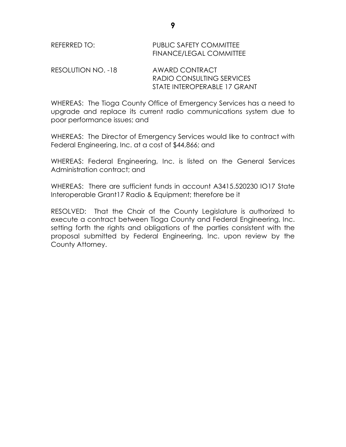| REFERRED TO: | PUBLIC SAFETY COMMITTEE        |
|--------------|--------------------------------|
|              | <b>FINANCE/LEGAL COMMITTEE</b> |
|              |                                |

| RESOLUTION NO. -18 | AWARD CONTRACT               |
|--------------------|------------------------------|
|                    | RADIO CONSULTING SERVICES    |
|                    | STATE INTEROPERABLE 17 GRANT |

WHEREAS: The Tioga County Office of Emergency Services has a need to upgrade and replace its current radio communications system due to poor performance issues; and

WHEREAS: The Director of Emergency Services would like to contract with Federal Engineering, Inc. at a cost of \$44,866; and

WHEREAS: Federal Engineering, Inc. is listed on the General Services Administration contract; and

WHEREAS: There are sufficient funds in account A3415.520230 IO17 State Interoperable Grant17 Radio & Equipment; therefore be it

RESOLVED: That the Chair of the County Legislature is authorized to execute a contract between Tioga County and Federal Engineering, Inc. setting forth the rights and obligations of the parties consistent with the proposal submitted by Federal Engineering, Inc. upon review by the County Attorney.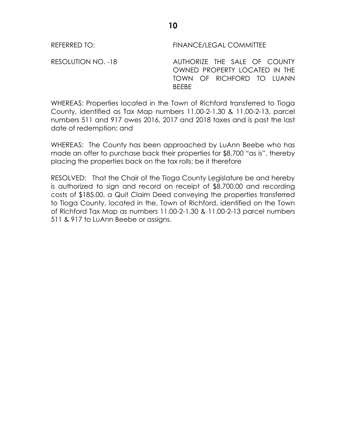REFERRED TO: FINANCE/LEGAL COMMITTEE

RESOLUTION NO. -18 AUTHORIZE THE SALE OF COUNTY OWNED PROPERTY LOCATED IN THE TOWN OF RICHFORD TO LUANN BEEBE

WHEREAS: Properties located in the Town of Richford transferred to Tioga County, identified as Tax Map numbers 11.00-2-1.30 & 11.00-2-13, parcel numbers 511 and 917 owes 2016, 2017 and 2018 taxes and is past the last date of redemption; and

WHEREAS: The County has been approached by LuAnn Beebe who has made an offer to purchase back their properties for \$8,700 "as is", thereby placing the properties back on the tax rolls; be it therefore

RESOLVED: That the Chair of the Tioga County Legislature be and hereby is authorized to sign and record on receipt of \$8,700.00 and recording costs of \$185.00, a Quit Claim Deed conveying the properties transferred to Tioga County, located in the, Town of Richford, identified on the Town of Richford Tax Map as numbers 11.00-2-1.30 & 11.00-2-13 parcel numbers 511 & 917 to LuAnn Beebe or assigns.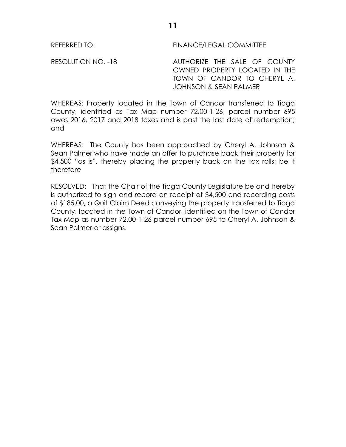REFERRED TO: FINANCE/LEGAL COMMITTEE

RESOLUTION NO. -18 AUTHORIZE THE SALE OF COUNTY OWNED PROPERTY LOCATED IN THE TOWN OF CANDOR TO CHERYL A. JOHNSON & SEAN PALMER

WHEREAS: Property located in the Town of Candor transferred to Tioga County, identified as Tax Map number 72.00-1-26, parcel number 695 owes 2016, 2017 and 2018 taxes and is past the last date of redemption; and

WHEREAS: The County has been approached by Cheryl A. Johnson & Sean Palmer who have made an offer to purchase back their property for \$4,500 "as is", thereby placing the property back on the tax rolls; be it therefore

RESOLVED: That the Chair of the Tioga County Legislature be and hereby is authorized to sign and record on receipt of \$4,500 and recording costs of \$185.00, a Quit Claim Deed conveying the property transferred to Tioga County, located in the Town of Candor, identified on the Town of Candor Tax Map as number 72.00-1-26 parcel number 695 to Cheryl A. Johnson & Sean Palmer or assigns.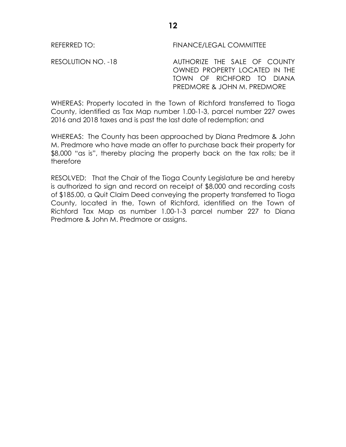REFERRED TO: FINANCE/LEGAL COMMITTEE

RESOLUTION NO. -18 AUTHORIZE THE SALE OF COUNTY OWNED PROPERTY LOCATED IN THE TOWN OF RICHFORD TO DIANA PREDMORE & JOHN M. PREDMORE

WHEREAS: Property located in the Town of Richford transferred to Tioga County, identified as Tax Map number 1.00-1-3, parcel number 227 owes 2016 and 2018 taxes and is past the last date of redemption; and

WHEREAS: The County has been approached by Diana Predmore & John M. Predmore who have made an offer to purchase back their property for \$8,000 "as is", thereby placing the property back on the tax rolls; be it therefore

RESOLVED: That the Chair of the Tioga County Legislature be and hereby is authorized to sign and record on receipt of \$8,000 and recording costs of \$185.00, a Quit Claim Deed conveying the property transferred to Tioga County, located in the, Town of Richford, identified on the Town of Richford Tax Map as number 1.00-1-3 parcel number 227 to Diana Predmore & John M. Predmore or assigns.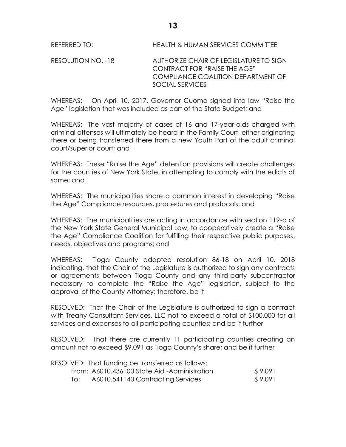RESOLUTION NO. -18 AUTHORIZE CHAIR OF LEGISLATURE TO SIGN CONTRACT FOR "RAISE THE AGE" COMPLIANCE COALITION DEPARTMENT OF SOCIAL SERVICES

WHEREAS: On April 10, 2017, Governor Cuomo signed into law "Raise the Age" legislation that was included as part of the State Budget; and

WHEREAS: The vast majority of cases of 16 and 17-year-olds charged with criminal offenses will ultimately be heard in the Family Court, either originating there or being transferred there from a new Youth Part of the adult criminal court/superior court; and

WHEREAS: These "Raise the Age" detention provisions will create challenges for the counties of New York State, in attempting to comply with the edicts of same; and

WHEREAS: The municipalities share a common interest in developing "Raise the Age" Compliance resources, procedures and protocols; and

WHEREAS: The municipalities are acting in accordance with section 119-o of the New York State General Municipal Law, to cooperatively create a "Raise the Age" Compliance Coalition for fulfilling their respective public purposes, needs, objectives and programs; and

WHEREAS: Tioga County adopted resolution 86-18 on April 10, 2018 indicating, that the Chair of the Legislature is authorized to sign any contracts or agreements between Tioga County and any third-party subcontractor necessary to complete the "Raise the Age" legislation, subject to the approval of the County Attorney; therefore, be it

RESOLVED:That the Chair of the Legislature is authorized to sign a contract with Treahy Consultant Services, LLC not to exceed a total of \$100,000 for all services and expenses to all participating counties; and be it further

RESOLVED: That there are currently 11 participating counties creating an amount not to exceed \$9,091 as Tioga County's share; and be it further

|     | RESOLVED: That funding be transferred as follows: |         |
|-----|---------------------------------------------------|---------|
|     | From: A6010.436100 State Aid -Administration      | \$9,091 |
| TO: | A6010.541140 Contracting Services                 | \$9,091 |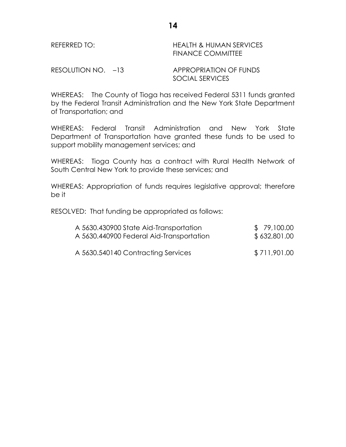| REFERRED TO:       | HEALTH & HUMAN SERVICES<br><b>FINANCE COMMITTEE</b> |
|--------------------|-----------------------------------------------------|
| RESOLUTION NO. -13 | <b>APPROPRIATION OF FUNDS</b>                       |

WHEREAS: The County of Tioga has received Federal 5311 funds granted by the Federal Transit Administration and the New York State Department of Transportation; and

SOCIAL SERVICES

WHEREAS: Federal Transit Administration and New York State Department of Transportation have granted these funds to be used to support mobility management services; and

WHEREAS: Tioga County has a contract with Rural Health Network of South Central New York to provide these services; and

WHEREAS: Appropriation of funds requires legislative approval; therefore be it

RESOLVED: That funding be appropriated as follows:

| A 5630.430900 State Aid-Transportation   | \$79,100.00  |
|------------------------------------------|--------------|
| A 5630.440900 Federal Aid-Transportation | \$632,801.00 |
| A 5630.540140 Contracting Services       | \$711,901.00 |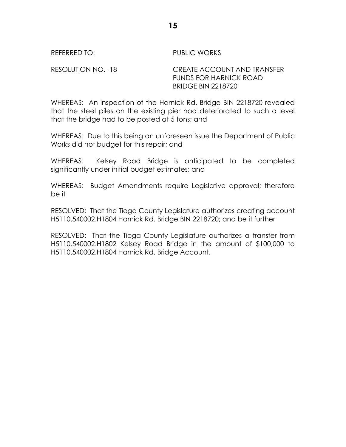REFERRED TO: PUBLIC WORKS

RESOLUTION NO. -18 CREATE ACCOUNT AND TRANSFER FUNDS FOR HARNICK ROAD BRIDGE BIN 2218720

WHEREAS: An inspection of the Harnick Rd. Bridge BIN 2218720 revealed that the steel piles on the existing pier had deteriorated to such a level that the bridge had to be posted at 5 tons; and

WHEREAS: Due to this being an unforeseen issue the Department of Public Works did not budget for this repair; and

WHEREAS: Kelsey Road Bridge is anticipated to be completed significantly under initial budget estimates; and

WHEREAS: Budget Amendments require Legislative approval; therefore be it

RESOLVED: That the Tioga County Legislature authorizes creating account H5110.540002.H1804 Harnick Rd. Bridge BIN 2218720; and be it further

RESOLVED: That the Tioga County Legislature authorizes a transfer from H5110.540002.H1802 Kelsey Road Bridge in the amount of \$100,000 to H5110.540002.H1804 Harnick Rd. Bridge Account.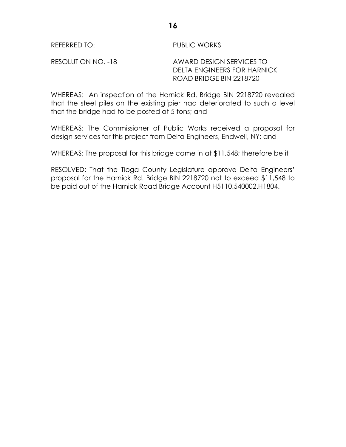REFERRED TO: PUBLIC WORKS

RESOLUTION NO. -18 AWARD DESIGN SERVICES TO DELTA ENGINEERS FOR HARNICK ROAD BRIDGE BIN 2218720

WHEREAS: An inspection of the Harnick Rd. Bridge BIN 2218720 revealed that the steel piles on the existing pier had deteriorated to such a level that the bridge had to be posted at 5 tons; and

WHEREAS: The Commissioner of Public Works received a proposal for design services for this project from Delta Engineers, Endwell, NY; and

WHEREAS: The proposal for this bridge came in at \$11,548; therefore be it

RESOLVED: That the Tioga County Legislature approve Delta Engineers' proposal for the Harnick Rd. Bridge BIN 2218720 not to exceed \$11,548 to be paid out of the Harnick Road Bridge Account H5110.540002.H1804.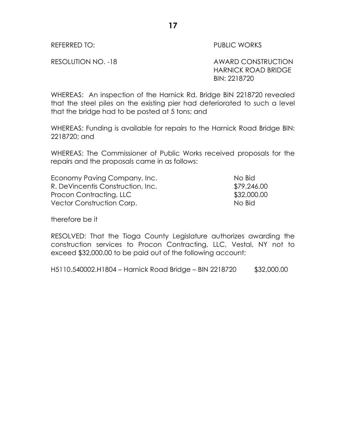REFERRED TO: The contract of the contract of the public works

RESOLUTION NO. -18 AWARD CONSTRUCTION HARNICK ROAD BRIDGE BIN: 2218720

WHEREAS: An inspection of the Harnick Rd. Bridge BIN 2218720 revealed that the steel piles on the existing pier had deteriorated to such a level that the bridge had to be posted at 5 tons; and

WHEREAS: Funding is available for repairs to the Harnick Road Bridge BIN: 2218720; and

WHEREAS: The Commissioner of Public Works received proposals for the repairs and the proposals came in as follows:

| Economy Paving Company, Inc.      | No Bid      |
|-----------------------------------|-------------|
| R. DeVincentis Construction, Inc. | \$79,246.00 |
| Procon Contracting, LLC           | \$32,000.00 |
| Vector Construction Corp.         | No Bid      |

therefore be it

RESOLVED: That the Tioga County Legislature authorizes awarding the construction services to Procon Contracting, LLC, Vestal, NY not to exceed \$32,000.00 to be paid out of the following account:

H5110.540002.H1804 – Harnick Road Bridge – BIN 2218720 \$32,000.00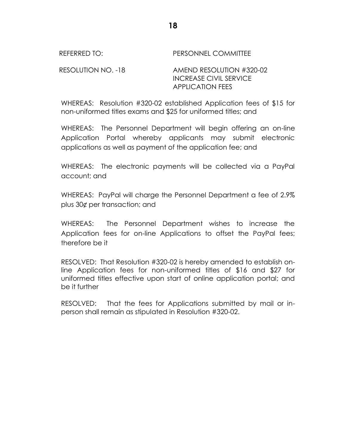REFERRED TO: PERSONNEL COMMITTEE RESOLUTION NO. -18 AMEND RESOLUTION #320-02 INCREASE CIVIL SERVICE APPLICATION FEES

WHEREAS: Resolution #320-02 established Application fees of \$15 for non-uniformed titles exams and \$25 for uniformed titles; and

WHEREAS: The Personnel Department will begin offering an on-line Application Portal whereby applicants may submit electronic applications as well as payment of the application fee; and

WHEREAS: The electronic payments will be collected via a PayPal account; and

WHEREAS: PayPal will charge the Personnel Department a fee of 2.9% plus 30¢ per transaction; and

WHEREAS: The Personnel Department wishes to increase the Application fees for on-line Applications to offset the PayPal fees; therefore be it

RESOLVED: That Resolution #320-02 is hereby amended to establish online Application fees for non-uniformed titles of \$16 and \$27 for uniformed titles effective upon start of online application portal; and be it further

RESOLVED: That the fees for Applications submitted by mail or inperson shall remain as stipulated in Resolution #320-02.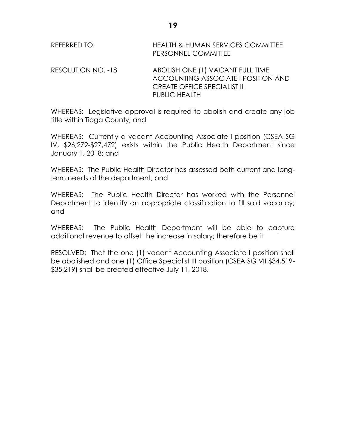| REFERRED TO:        | <b>HEALTH &amp; HUMAN SERVICES COMMITTEE</b><br><b>PERSONNEL COMMITTEE</b> |
|---------------------|----------------------------------------------------------------------------|
| RESOLUTION NO. -18. | ABOLISH ONE (1) VACANT FULL TIME                                           |

 $S$ ULUTION NO. -10 ACCOUNTING ASSOCIATE I POSITION AND CREATE OFFICE SPECIALIST III PUBLIC HEALTH

WHEREAS: Legislative approval is required to abolish and create any job title within Tioga County; and

WHEREAS: Currently a vacant Accounting Associate I position (CSEA SG IV, \$26,272-\$27,472) exists within the Public Health Department since January 1, 2018; and

WHEREAS: The Public Health Director has assessed both current and longterm needs of the department; and

WHEREAS: The Public Health Director has worked with the Personnel Department to identify an appropriate classification to fill said vacancy; and

WHEREAS: The Public Health Department will be able to capture additional revenue to offset the increase in salary; therefore be it

RESOLVED: That the one (1) vacant Accounting Associate I position shall be abolished and one (1) Office Specialist III position (CSEA SG VII \$34,519- \$35,219) shall be created effective July 11, 2018.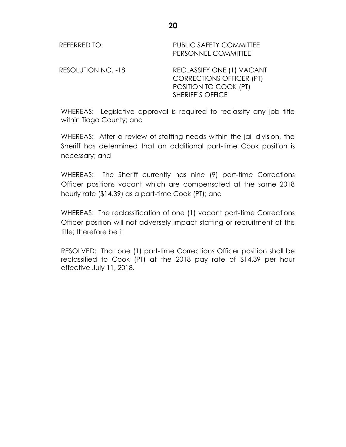REFERRED TO: PUBLIC SAFETY COMMITTEE PERSONNEL COMMITTEE

RESOLUTION NO. -18 RECLASSIFY ONE (1) VACANT CORRECTIONS OFFICER (PT) POSITION TO COOK (PT) SHERIFF'S OFFICE

WHEREAS: Legislative approval is required to reclassify any job title within Tioga County; and

WHEREAS: After a review of staffing needs within the jail division, the Sheriff has determined that an additional part-time Cook position is necessary; and

WHEREAS: The Sheriff currently has nine (9) part-time Corrections Officer positions vacant which are compensated at the same 2018 hourly rate (\$14.39) as a part-time Cook (PT); and

WHEREAS: The reclassification of one (1) vacant part-time Corrections Officer position will not adversely impact staffing or recruitment of this title; therefore be it

RESOLVED: That one (1) part-time Corrections Officer position shall be reclassified to Cook (PT) at the 2018 pay rate of \$14.39 per hour effective July 11, 2018.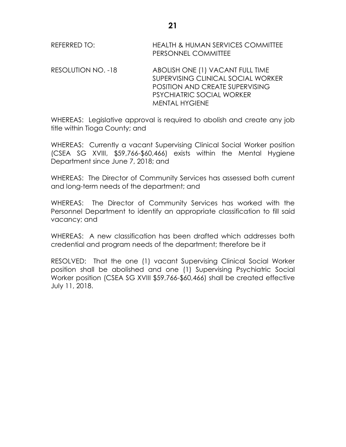REFERRED TO: **HEALTH & HUMAN SERVICES COMMITTEE** PERSONNEL COMMITTEE

RESOLUTION NO. -18 ABOLISH ONE (1) VACANT FULL TIME SUPERVISING CLINICAL SOCIAL WORKER POSITION AND CREATE SUPERVISING PSYCHIATRIC SOCIAL WORKER MENTAL HYGIENE

WHEREAS: Legislative approval is required to abolish and create any job title within Tioga County; and

WHEREAS: Currently a vacant Supervising Clinical Social Worker position (CSEA SG XVIII, \$59,766-\$60,466) exists within the Mental Hygiene Department since June 7, 2018; and

WHEREAS: The Director of Community Services has assessed both current and long-term needs of the department; and

WHEREAS: The Director of Community Services has worked with the Personnel Department to identify an appropriate classification to fill said vacancy; and

WHEREAS: A new classification has been drafted which addresses both credential and program needs of the department; therefore be it

RESOLVED: That the one (1) vacant Supervising Clinical Social Worker position shall be abolished and one (1) Supervising Psychiatric Social Worker position (CSEA SG XVIII \$59,766-\$60,466) shall be created effective July 11, 2018.